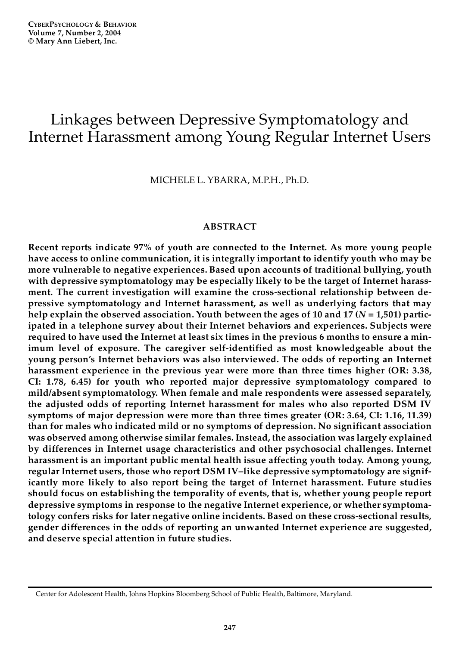**CYBERPSYCHOLOGY & BEHAVIOR Volume 7, Number 2, 2004 © Mary Ann Liebert, Inc.**

# Linkages between Depressive Symptomatology and Internet Harassment among Young Regular Internet Users

MICHELE L. YBARRA, M.P.H., Ph.D.

# **ABSTRACT**

**Recent reports indicate 97% of youth are connected to the Internet. As more young people have access to online communication, it is integrally important to identify youth who may be more vulnerable to negative experiences. Based upon accounts of traditional bullying, youth with depressive symptomatology may be especially likely to be the target of Internet harassment. The current investigation will examine the cross-sectional relationship between depressive symptomatology and Internet harassment, as well as underlying factors that may help explain the observed association. Youth between the ages of 10 and 17 (***N* **= 1,501) participated in a telephone survey about their Internet behaviors and experiences. Subjects were required to have used the Internet at least six times in the previous 6 months to ensure a minimum level of exposure. The caregiver self-identified as most knowledgeable about the young person's Internet behaviors was also interviewed. The odds of reporting an Internet harassment experience in the previous year were more than three times higher (OR: 3.38, CI: 1.78, 6.45) for youth who reported major depressive symptomatology compared to mild/absent symptomatology. When female and male respondents were assessed separately, the adjusted odds of reporting Internet harassment for males who also reported DSM IV symptoms of major depression were more than three times greater (OR: 3.64, CI: 1.16, 11.39) than for males who indicated mild or no symptoms of depression. No significant association was observed among otherwise similar females. Instead, the association was largely explained by differences in Internet usage characteristics and other psychosocial challenges. Internet harassment is an important public mental health issue affecting youth today. Among young, regular Internet users, those who report DSM IV–like depressive symptomatology are significantly more likely to also report being the target of Internet harassment. Future studies should focus on establishing the temporality of events, that is, whether young people report depressive symptoms in response to the negative Internet experience, or whether symptomatology confers risks for later negative online incidents. Based on these cross-sectional results, gender differences in the odds of reporting an unwanted Internet experience are suggested, and deserve special attention in future studies.**

Center for Adolescent Health, Johns Hopkins Bloomberg School of Public Health, Baltimore, Maryland.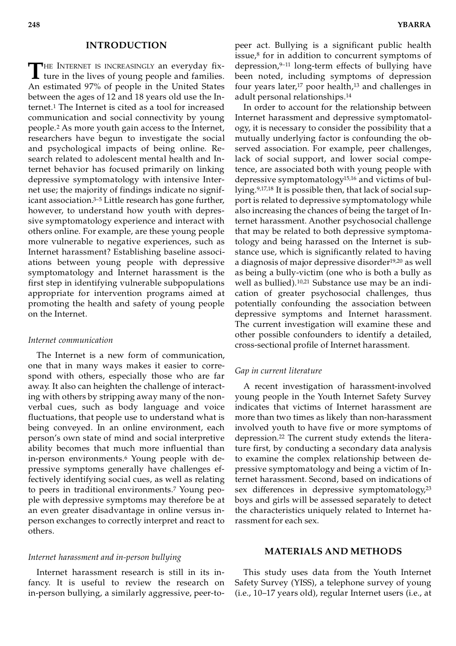# **INTRODUCTION**

THE INTERNET IS INCREASINGLY an everyday fix-<br>ture in the lives of young people and families. ture in the lives of young people and families. An estimated 97% of people in the United States between the ages of 12 and 18 years old use the Internet.<sup>1</sup> The Internet is cited as a tool for increased communication and social connectivity by young people.<sup>2</sup> As more youth gain access to the Internet, researchers have begun to investigate the social and psychological impacts of being online. Research related to adolescent mental health and Internet behavior has focused primarily on linking depressive symptomatology with intensive Internet use; the majority of findings indicate no significant association.3–5 Little research has gone further, however, to understand how youth with depressive symptomatology experience and interact with others online. For example, are these young people more vulnerable to negative experiences, such as Internet harassment? Establishing baseline associations between young people with depressive symptomatology and Internet harassment is the first step in identifying vulnerable subpopulations appropriate for intervention programs aimed at promoting the health and safety of young people on the Internet.

#### *Internet communication*

The Internet is a new form of communication, one that in many ways makes it easier to correspond with others, especially those who are far away. It also can heighten the challenge of interacting with others by stripping away many of the nonverbal cues, such as body language and voice fluctuations, that people use to understand what is being conveyed. In an online environment, each person's own state of mind and social interpretive ability becomes that much more influential than in-person environments.<sup>6</sup> Young people with depressive symptoms generally have challenges effectively identifying social cues, as well as relating to peers in traditional environments.<sup>7</sup> Young people with depressive symptoms may therefore be at an even greater disadvantage in online versus inperson exchanges to correctly interpret and react to others.

# *Internet harassment and in-person bullying*

Internet harassment research is still in its infancy. It is useful to review the research on in-person bullying, a similarly aggressive, peer-to-

peer act. Bullying is a significant public health issue,<sup>8</sup> for in addition to concurrent symptoms of depression, $9-11$  long-term effects of bullying have been noted, including symptoms of depression four years later, $17$  poor health, $13$  and challenges in adult personal relationships.<sup>14</sup>

In order to account for the relationship between Internet harassment and depressive symptomatology, it is necessary to consider the possibility that a mutually underlying factor is confounding the observed association. For example, peer challenges, lack of social support, and lower social competence, are associated both with young people with depressive symptomatology<sup>15,16</sup> and victims of bullying.9,17,18 It is possible then, that lack of social support is related to depressive symptomatology while also increasing the chances of being the target of Internet harassment. Another psychosocial challenge that may be related to both depressive symptomatology and being harassed on the Internet is substance use, which is significantly related to having a diagnosis of major depressive disorder<sup>19,20</sup> as well as being a bully-victim (one who is both a bully as well as bullied).10,21 Substance use may be an indication of greater psychosocial challenges, thus potentially confounding the association between depressive symptoms and Internet harassment. The current investigation will examine these and other possible confounders to identify a detailed, cross-sectional profile of Internet harassment.

# *Gap in current literature*

A recent investigation of harassment-involved young people in the Youth Internet Safety Survey indicates that victims of Internet harassment are more than two times as likely than non-harassment involved youth to have five or more symptoms of depression.<sup>22</sup> The current study extends the literature first, by conducting a secondary data analysis to examine the complex relationship between depressive symptomatology and being a victim of Internet harassment. Second, based on indications of sex differences in depressive symptomatology,<sup>23</sup> boys and girls will be assessed separately to detect the characteristics uniquely related to Internet harassment for each sex.

# **MATERIALS AND METHODS**

This study uses data from the Youth Internet Safety Survey (YISS), a telephone survey of young (i.e., 10–17 years old), regular Internet users (i.e., at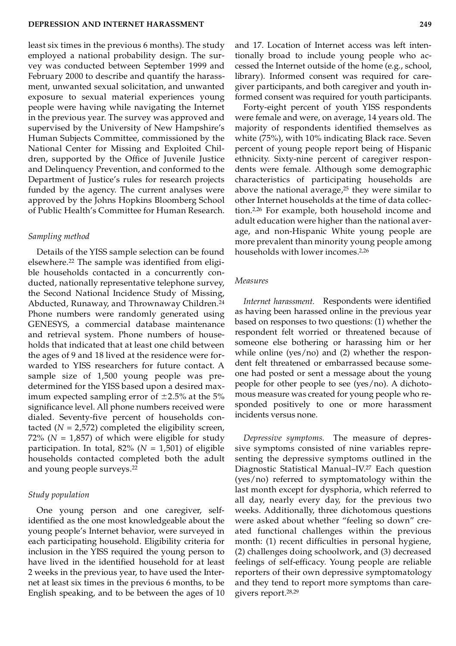least six times in the previous 6 months). The study employed a national probability design. The survey was conducted between September 1999 and February 2000 to describe and quantify the harassment, unwanted sexual solicitation, and unwanted exposure to sexual material experiences young people were having while navigating the Internet in the previous year. The survey was approved and supervised by the University of New Hampshire's Human Subjects Committee, commissioned by the National Center for Missing and Exploited Children, supported by the Office of Juvenile Justice and Delinquency Prevention, and conformed to the Department of Justice's rules for research projects funded by the agency. The current analyses were approved by the Johns Hopkins Bloomberg School of Public Health's Committee for Human Research.

#### *Sampling method*

Details of the YISS sample selection can be found elsewhere.<sup>22</sup> The sample was identified from eligible households contacted in a concurrently conducted, nationally representative telephone survey, the Second National Incidence Study of Missing, Abducted, Runaway, and Thrownaway Children.<sup>24</sup> Phone numbers were randomly generated using GENESYS, a commercial database maintenance and retrieval system. Phone numbers of households that indicated that at least one child between the ages of 9 and 18 lived at the residence were forwarded to YISS researchers for future contact. A sample size of 1,500 young people was predetermined for the YISS based upon a desired maximum expected sampling error of  $\pm 2.5$ % at the 5% significance level. All phone numbers received were dialed. Seventy-five percent of households contacted  $(N = 2,572)$  completed the eligibility screen, 72% ( $N = 1,857$ ) of which were eligible for study participation. In total,  $82\%$  ( $N = 1,501$ ) of eligible households contacted completed both the adult and young people surveys.<sup>22</sup>

# *Study population*

One young person and one caregiver, selfidentified as the one most knowledgeable about the young people's Internet behavior, were surveyed in each participating household. Eligibility criteria for inclusion in the YISS required the young person to have lived in the identified household for at least 2 weeks in the previous year, to have used the Internet at least six times in the previous 6 months, to be English speaking, and to be between the ages of 10

and 17. Location of Internet access was left intentionally broad to include young people who accessed the Internet outside of the home (e.g., school, library). Informed consent was required for caregiver participants, and both caregiver and youth informed consent was required for youth participants.

Forty-eight percent of youth YISS respondents were female and were, on average, 14 years old. The majority of respondents identified themselves as white (75%), with 10% indicating Black race. Seven percent of young people report being of Hispanic ethnicity. Sixty-nine percent of caregiver respondents were female. Although some demographic characteristics of participating households are above the national average, $25$  they were similar to other Internet households at the time of data collection.2,26 For example, both household income and adult education were higher than the national average, and non-Hispanic White young people are more prevalent than minority young people among households with lower incomes.2,26

# *Measures*

*Internet harassment.* Respondents were identified as having been harassed online in the previous year based on responses to two questions: (1) whether the respondent felt worried or threatened because of someone else bothering or harassing him or her while online (yes/no) and (2) whether the respondent felt threatened or embarrassed because someone had posted or sent a message about the young people for other people to see (yes/no). A dichotomous measure was created for young people who responded positively to one or more harassment incidents versus none.

*Depressive symptoms.* The measure of depressive symptoms consisted of nine variables representing the depressive symptoms outlined in the Diagnostic Statistical Manual–IV.<sup>27</sup> Each question (yes/no) referred to symptomatology within the last month except for dysphoria, which referred to all day, nearly every day, for the previous two weeks. Additionally, three dichotomous questions were asked about whether "feeling so down" created functional challenges within the previous month: (1) recent difficulties in personal hygiene, (2) challenges doing schoolwork, and (3) decreased feelings of self-efficacy. Young people are reliable reporters of their own depressive symptomatology and they tend to report more symptoms than caregivers report.28,29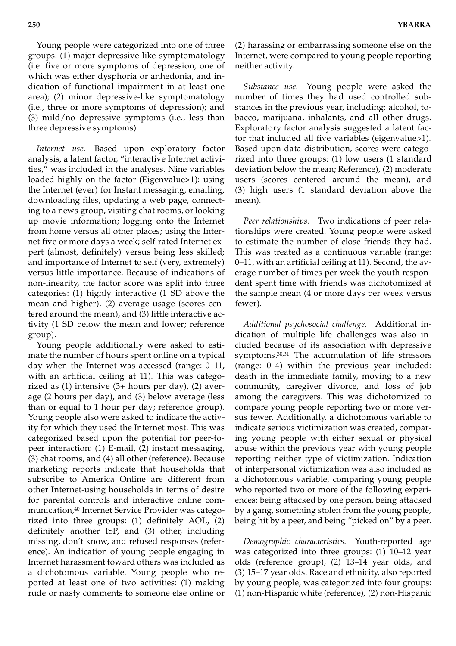Young people were categorized into one of three groups: (1) major depressive-like symptomatology (i.e. five or more symptoms of depression, one of which was either dysphoria or anhedonia, and indication of functional impairment in at least one area); (2) minor depressive-like symptomatology (i.e., three or more symptoms of depression); and (3) mild/no depressive symptoms (i.e., less than three depressive symptoms).

*Internet use.* Based upon exploratory factor analysis, a latent factor, "interactive Internet activities," was included in the analyses. Nine variables loaded highly on the factor (Eigenvalue>1): using the Internet (ever) for Instant messaging, emailing, downloading files, updating a web page, connecting to a news group, visiting chat rooms, or looking up movie information; logging onto the Internet from home versus all other places; using the Internet five or more days a week; self-rated Internet expert (almost, definitely) versus being less skilled; and importance of Internet to self (very, extremely) versus little importance. Because of indications of non-linearity, the factor score was split into three categories: (1) highly interactive (1 SD above the mean and higher), (2) average usage (scores centered around the mean), and (3) little interactive activity (1 SD below the mean and lower; reference group).

Young people additionally were asked to estimate the number of hours spent online on a typical day when the Internet was accessed (range: 0–11, with an artificial ceiling at 11). This was categorized as (1) intensive (3+ hours per day), (2) average (2 hours per day), and (3) below average (less than or equal to 1 hour per day; reference group). Young people also were asked to indicate the activity for which they used the Internet most. This was categorized based upon the potential for peer-topeer interaction: (1) E-mail, (2) instant messaging, (3) chat rooms, and (4) all other (reference). Because marketing reports indicate that households that subscribe to America Online are different from other Internet-using households in terms of desire for parental controls and interactive online communication,<sup>40</sup> Internet Service Provider was categorized into three groups: (1) definitely AOL, (2) definitely another ISP, and (3) other, including missing, don't know, and refused responses (reference). An indication of young people engaging in Internet harassment toward others was included as a dichotomous variable. Young people who reported at least one of two activities: (1) making rude or nasty comments to someone else online or

(2) harassing or embarrassing someone else on the Internet, were compared to young people reporting neither activity.

*Substance use.* Young people were asked the number of times they had used controlled substances in the previous year, including: alcohol, tobacco, marijuana, inhalants, and all other drugs. Exploratory factor analysis suggested a latent factor that included all five variables (eigenvalue>1). Based upon data distribution, scores were categorized into three groups: (1) low users (1 standard deviation below the mean; Reference), (2) moderate users (scores centered around the mean), and (3) high users (1 standard deviation above the mean).

*Peer relationships.* Two indications of peer relationships were created. Young people were asked to estimate the number of close friends they had. This was treated as a continuous variable (range: 0–11, with an artificial ceiling at 11). Second, the average number of times per week the youth respondent spent time with friends was dichotomized at the sample mean (4 or more days per week versus fewer).

*Additional psychosocial challenge.* Additional indication of multiple life challenges was also included because of its association with depressive symptoms.30,31 The accumulation of life stressors (range: 0–4) within the previous year included: death in the immediate family, moving to a new community, caregiver divorce, and loss of job among the caregivers. This was dichotomized to compare young people reporting two or more versus fewer. Additionally, a dichotomous variable to indicate serious victimization was created, comparing young people with either sexual or physical abuse within the previous year with young people reporting neither type of victimization. Indication of interpersonal victimization was also included as a dichotomous variable, comparing young people who reported two or more of the following experiences: being attacked by one person, being attacked by a gang, something stolen from the young people, being hit by a peer, and being "picked on" by a peer.

*Demographic characteristics.* Youth-reported age was categorized into three groups: (1) 10–12 year olds (reference group), (2) 13–14 year olds, and (3) 15–17 year olds. Race and ethnicity, also reported by young people, was categorized into four groups: (1) non-Hispanic white (reference), (2) non-Hispanic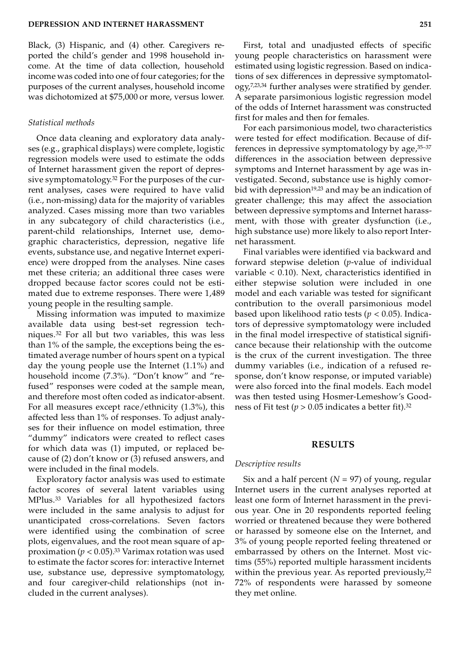Black, (3) Hispanic, and (4) other. Caregivers reported the child's gender and 1998 household income. At the time of data collection, household income was coded into one of four categories; for the purposes of the current analyses, household income was dichotomized at \$75,000 or more, versus lower.

# *Statistical methods*

Once data cleaning and exploratory data analyses (e.g., graphical displays) were complete, logistic regression models were used to estimate the odds of Internet harassment given the report of depressive symptomatology.<sup>32</sup> For the purposes of the current analyses, cases were required to have valid (i.e., non-missing) data for the majority of variables analyzed. Cases missing more than two variables in any subcategory of child characteristics (i.e., parent-child relationships, Internet use, demographic characteristics, depression, negative life events, substance use, and negative Internet experience) were dropped from the analyses. Nine cases met these criteria; an additional three cases were dropped because factor scores could not be estimated due to extreme responses. There were 1,489 young people in the resulting sample.

Missing information was imputed to maximize available data using best-set regression techniques.<sup>32</sup> For all but two variables, this was less than 1% of the sample, the exceptions being the estimated average number of hours spent on a typical day the young people use the Internet (1.1%) and household income (7.3%). "Don't know" and "refused" responses were coded at the sample mean, and therefore most often coded as indicator-absent. For all measures except race/ethnicity (1.3%), this affected less than 1% of responses. To adjust analyses for their influence on model estimation, three "dummy" indicators were created to reflect cases for which data was (1) imputed, or replaced because of (2) don't know or (3) refused answers, and were included in the final models.

Exploratory factor analysis was used to estimate factor scores of several latent variables using MPlus.<sup>33</sup> Variables for all hypothesized factors were included in the same analysis to adjust for unanticipated cross-correlations. Seven factors were identified using the combination of scree plots, eigenvalues, and the root mean square of approximation ( $p < 0.05$ ).<sup>33</sup> Varimax rotation was used to estimate the factor scores for: interactive Internet use, substance use, depressive symptomatology, and four caregiver-child relationships (not included in the current analyses).

First, total and unadjusted effects of specific young people characteristics on harassment were estimated using logistic regression. Based on indications of sex differences in depressive symptomatology,7,23,34 further analyses were stratified by gender. A separate parsimonious logistic regression model of the odds of Internet harassment was constructed first for males and then for females.

For each parsimonious model, two characteristics were tested for effect modification. Because of differences in depressive symptomatology by age, 35-37 differences in the association between depressive symptoms and Internet harassment by age was investigated. Second, substance use is highly comorbid with depression $19,23$  and may be an indication of greater challenge; this may affect the association between depressive symptoms and Internet harassment, with those with greater dysfunction (i.e., high substance use) more likely to also report Internet harassment.

Final variables were identified via backward and forward stepwise deletion (*p*-value of individual variable < 0.10). Next, characteristics identified in either stepwise solution were included in one model and each variable was tested for significant contribution to the overall parsimonious model based upon likelihood ratio tests (*p* < 0.05). Indicators of depressive symptomatology were included in the final model irrespective of statistical significance because their relationship with the outcome is the crux of the current investigation. The three dummy variables (i.e., indication of a refused response, don't know response, or imputed variable) were also forced into the final models. Each model was then tested using Hosmer-Lemeshow's Goodness of Fit test ( $p > 0.05$  indicates a better fit).<sup>32</sup>

# **RESULTS**

#### *Descriptive results*

Six and a half percent  $(N = 97)$  of young, regular Internet users in the current analyses reported at least one form of Internet harassment in the previous year. One in 20 respondents reported feeling worried or threatened because they were bothered or harassed by someone else on the Internet, and 3% of young people reported feeling threatened or embarrassed by others on the Internet. Most victims (55%) reported multiple harassment incidents within the previous year. As reported previously, $22$ 72% of respondents were harassed by someone they met online.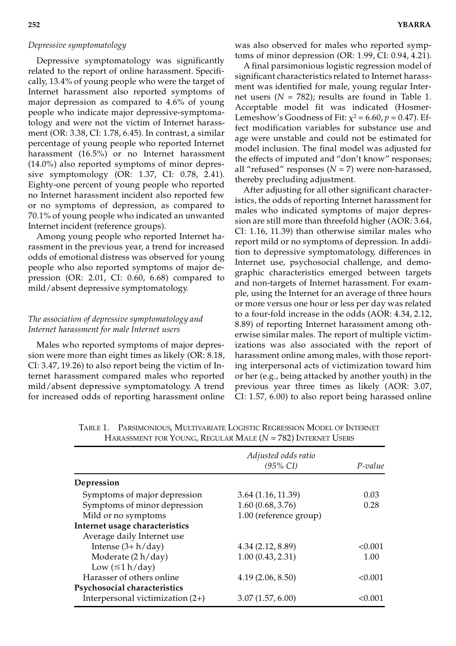# *Depressive symptomatology*

Depressive symptomatology was significantly related to the report of online harassment. Specifically, 13.4% of young people who were the target of Internet harassment also reported symptoms of major depression as compared to 4.6% of young people who indicate major depressive-symptomatology and were not the victim of Internet harassment (OR: 3.38, CI: 1.78, 6.45). In contrast, a similar percentage of young people who reported Internet harassment (16.5%) or no Internet harassment (14.0%) also reported symptoms of minor depressive symptomology (OR: 1.37, CI: 0.78, 2.41). Eighty-one percent of young people who reported no Internet harassment incident also reported few or no symptoms of depression, as compared to 70.1% of young people who indicated an unwanted Internet incident (reference groups).

Among young people who reported Internet harassment in the previous year, a trend for increased odds of emotional distress was observed for young people who also reported symptoms of major depression (OR: 2.01, CI: 0.60, 6.68) compared to mild/absent depressive symptomatology.

# *The association of depressive symptomatology and Internet harassment for male Internet users*

Males who reported symptoms of major depression were more than eight times as likely (OR: 8.18, CI: 3.47, 19.26) to also report being the victim of Internet harassment compared males who reported mild/absent depressive symptomatology. A trend for increased odds of reporting harassment online was also observed for males who reported symptoms of minor depression (OR: 1.99, CI: 0.94, 4.21).

A final parsimonious logistic regression model of significant characteristics related to Internet harassment was identified for male, young regular Internet users  $(N = 782)$ ; results are found in Table 1. Acceptable model fit was indicated (Hosmer-Lemeshow's Goodness of Fit:  $\chi^2$  = 6.60,  $p$  = 0.47). Effect modification variables for substance use and age were unstable and could not be estimated for model inclusion. The final model was adjusted for the effects of imputed and "don't know" responses; all "refused" responses (*N* = 7) were non-harassed, thereby precluding adjustment.

After adjusting for all other significant characteristics, the odds of reporting Internet harassment for males who indicated symptoms of major depression are still more than threefold higher (AOR: 3.64, CI: 1.16, 11.39) than otherwise similar males who report mild or no symptoms of depression. In addition to depressive symptomatology, differences in Internet use, psychosocial challenge, and demographic characteristics emerged between targets and non-targets of Internet harassment. For example, using the Internet for an average of three hours or more versus one hour or less per day was related to a four-fold increase in the odds (AOR: 4.34, 2.12, 8.89) of reporting Internet harassment among otherwise similar males. The report of multiple victimizations was also associated with the report of harassment online among males, with those reporting interpersonal acts of victimization toward him or her (e.g., being attacked by another youth) in the previous year three times as likely (AOR: 3.07, CI: 1.57, 6.00) to also report being harassed online

|                                    | Adjusted odds ratio<br>$(95\% \text{ CI})$ | P-value |
|------------------------------------|--------------------------------------------|---------|
| Depression                         |                                            |         |
| Symptoms of major depression       | 3.64(1.16, 11.39)                          | 0.03    |
| Symptoms of minor depression       | 1.60(0.68, 3.76)                           | 0.28    |
| Mild or no symptoms                | 1.00 (reference group)                     |         |
| Internet usage characteristics     |                                            |         |
| Average daily Internet use         |                                            |         |
| Intense $(3+h/day)$                | 4.34(2.12, 8.89)                           | < 0.001 |
| Moderate (2 h/day)                 | 1.00(0.43, 2.31)                           | 1.00    |
| Low $(\leq 1 h/day)$               |                                            |         |
| Harasser of others online          | 4.19(2.06, 8.50)                           | < 0.001 |
| Psychosocial characteristics       |                                            |         |
| Interpersonal victimization $(2+)$ | 3.07(1.57, 6.00)                           | < 0.001 |

TABLE 1. PARSIMONIOUS, MULTIVARIATE LOGISTIC REGRESSION MODEL OF INTERNET HARASSMENT FOR YOUNG, REGULAR MALE ( $N = 782$ ) INTERNET USERS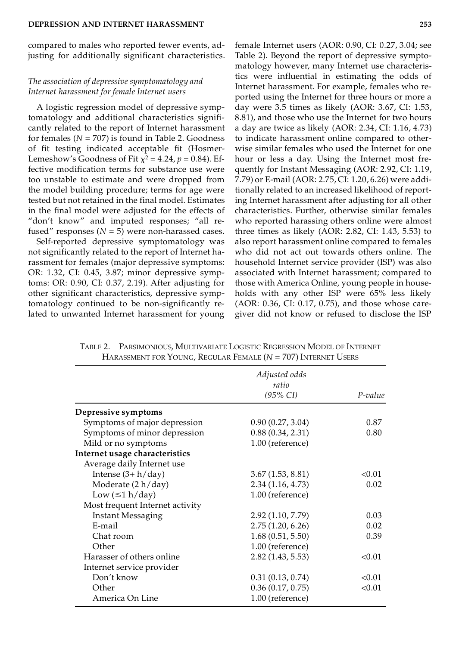compared to males who reported fewer events, adjusting for additionally significant characteristics.

# *The association of depressive symptomatology and Internet harassment for female Internet users*

A logistic regression model of depressive symptomatology and additional characteristics significantly related to the report of Internet harassment for females  $(N = 707)$  is found in Table 2. Goodness of fit testing indicated acceptable fit (Hosmer-Lemeshow's Goodness of Fit  $\chi^2$  = 4.24,  $p$  = 0.84). Effective modification terms for substance use were too unstable to estimate and were dropped from the model building procedure; terms for age were tested but not retained in the final model. Estimates in the final model were adjusted for the effects of "don't know" and imputed responses; "all refused" responses ( $N = 5$ ) were non-harassed cases.

Self-reported depressive symptomatology was not significantly related to the report of Internet harassment for females (major depressive symptoms: OR: 1.32, CI: 0.45, 3.87; minor depressive symptoms: OR: 0.90, CI: 0.37, 2.19). After adjusting for other significant characteristics, depressive symptomatology continued to be non-significantly related to unwanted Internet harassment for young

female Internet users (AOR: 0.90, CI: 0.27, 3.04; see Table 2). Beyond the report of depressive symptomatology however, many Internet use characteristics were influential in estimating the odds of Internet harassment. For example, females who reported using the Internet for three hours or more a day were 3.5 times as likely (AOR: 3.67, CI: 1.53, 8.81), and those who use the Internet for two hours a day are twice as likely (AOR: 2.34, CI: 1.16, 4.73) to indicate harassment online compared to otherwise similar females who used the Internet for one hour or less a day. Using the Internet most frequently for Instant Messaging (AOR: 2.92, CI: 1.19, 7.79) or E-mail (AOR: 2.75, CI: 1.20, 6.26) were additionally related to an increased likelihood of reporting Internet harassment after adjusting for all other characteristics. Further, otherwise similar females who reported harassing others online were almost three times as likely (AOR: 2.82, CI: 1.43, 5.53) to also report harassment online compared to females who did not act out towards others online. The household Internet service provider (ISP) was also associated with Internet harassment; compared to those with America Online, young people in households with any other ISP were 65% less likely (AOR: 0.36, CI: 0.17, 0.75), and those whose care-

giver did not know or refused to disclose the ISP

*Adjusted odds ratio (95% CI) P-value* **Depressive symptoms** Symptoms of major depression 0.90 (0.27, 3.04) 0.87 Symptoms of minor depression 0.88 (0.34, 2.31) 0.80 Mild or no symptoms 1.00 (reference) **Internet usage characteristics** Average daily Internet use Intense  $(3 + h/day)$  3.67  $(1.53, 8.81)$  <0.01 Moderate (2 h/day) 2.34 (1.16, 4.73) 0.02 Low  $(\leq 1 \text{ h/day})$  1.00 (reference) Most frequent Internet activity Instant Messaging 2.92 (1.10, 7.79) 0.03 E-mail 2.75 (1.20, 6.26) 0.02 Chat room 1.68 (0.51, 5.50) 0.39 Other 1.00 (reference) Harasser of others online 2.82 (1.43, 5.53) <0.01 Internet service provider Don't know  $0.31 (0.13, 0.74)$  <0.01 Other 0.36 (0.17, 0.75) <0.01 America On Line 1.00 (reference)

TABLE 2. PARSIMONIOUS, MULTIVARIATE LOGISTIC REGRESSION MODEL OF INTERNET HARASSMENT FOR YOUNG, REGULAR FEMALE (*N* = 707) INTERNET USERS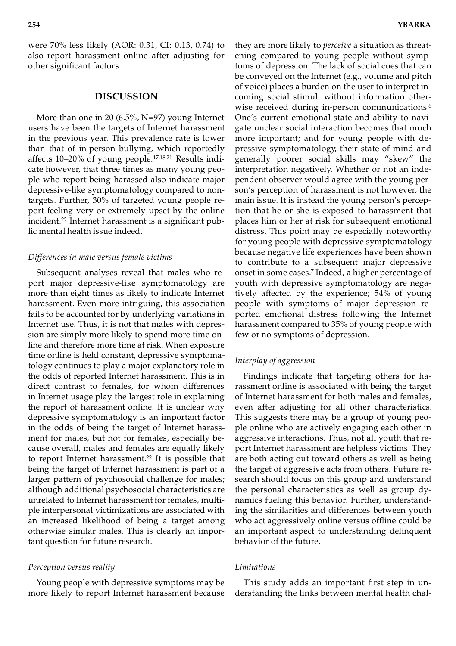were 70% less likely (AOR: 0.31, CI: 0.13, 0.74) to also report harassment online after adjusting for other significant factors.

# **DISCUSSION**

More than one in 20 (6.5%, N=97) young Internet users have been the targets of Internet harassment in the previous year. This prevalence rate is lower than that of in-person bullying, which reportedly affects 10–20% of young people.17,18,21 Results indicate however, that three times as many young people who report being harassed also indicate major depressive-like symptomatology compared to nontargets. Further, 30% of targeted young people report feeling very or extremely upset by the online incident.<sup>22</sup> Internet harassment is a significant public mental health issue indeed.

#### *Differences in male versus female victims*

Subsequent analyses reveal that males who report major depressive-like symptomatology are more than eight times as likely to indicate Internet harassment. Even more intriguing, this association fails to be accounted for by underlying variations in Internet use. Thus, it is not that males with depression are simply more likely to spend more time online and therefore more time at risk. When exposure time online is held constant, depressive symptomatology continues to play a major explanatory role in the odds of reported Internet harassment. This is in direct contrast to females, for whom differences in Internet usage play the largest role in explaining the report of harassment online. It is unclear why depressive symptomatology is an important factor in the odds of being the target of Internet harassment for males, but not for females, especially because overall, males and females are equally likely to report Internet harassment.<sup>22</sup> It is possible that being the target of Internet harassment is part of a larger pattern of psychosocial challenge for males; although additional psychosocial characteristics are unrelated to Internet harassment for females, multiple interpersonal victimizations are associated with an increased likelihood of being a target among otherwise similar males. This is clearly an important question for future research.

# *Perception versus reality*

Young people with depressive symptoms may be more likely to report Internet harassment because

they are more likely to *perceive* a situation as threatening compared to young people without symptoms of depression. The lack of social cues that can be conveyed on the Internet (e.g., volume and pitch of voice) places a burden on the user to interpret incoming social stimuli without information otherwise received during in-person communications.<sup>6</sup> One's current emotional state and ability to navigate unclear social interaction becomes that much more important; and for young people with depressive symptomatology, their state of mind and generally poorer social skills may "skew" the interpretation negatively. Whether or not an independent observer would agree with the young person's perception of harassment is not however, the main issue. It is instead the young person's perception that he or she is exposed to harassment that places him or her at risk for subsequent emotional distress. This point may be especially noteworthy for young people with depressive symptomatology because negative life experiences have been shown to contribute to a subsequent major depressive onset in some cases.<sup>7</sup> Indeed, a higher percentage of youth with depressive symptomatology are negatively affected by the experience; 54% of young people with symptoms of major depression reported emotional distress following the Internet harassment compared to 35% of young people with few or no symptoms of depression.

# *Interplay of aggression*

Findings indicate that targeting others for harassment online is associated with being the target of Internet harassment for both males and females, even after adjusting for all other characteristics. This suggests there may be a group of young people online who are actively engaging each other in aggressive interactions. Thus, not all youth that report Internet harassment are helpless victims. They are both acting out toward others as well as being the target of aggressive acts from others. Future research should focus on this group and understand the personal characteristics as well as group dynamics fueling this behavior. Further, understanding the similarities and differences between youth who act aggressively online versus offline could be an important aspect to understanding delinquent behavior of the future.

# *Limitations*

This study adds an important first step in understanding the links between mental health chal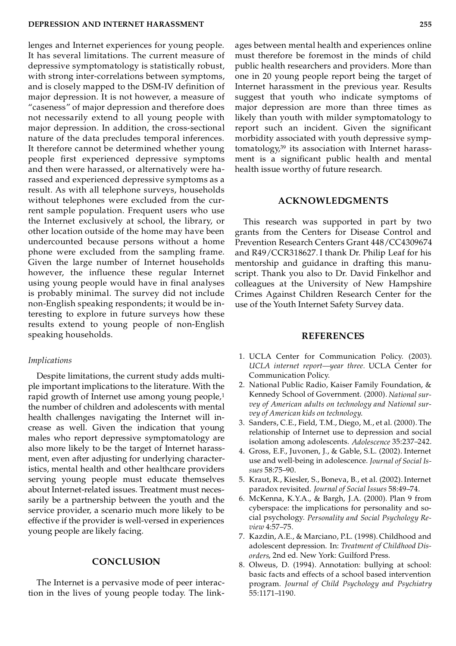lenges and Internet experiences for young people. It has several limitations. The current measure of depressive symptomatology is statistically robust, with strong inter-correlations between symptoms, and is closely mapped to the DSM-IV definition of major depression. It is not however, a measure of "caseness" of major depression and therefore does not necessarily extend to all young people with major depression. In addition, the cross-sectional nature of the data precludes temporal inferences. It therefore cannot be determined whether young people first experienced depressive symptoms and then were harassed, or alternatively were harassed and experienced depressive symptoms as a result. As with all telephone surveys, households without telephones were excluded from the current sample population. Frequent users who use the Internet exclusively at school, the library, or other location outside of the home may have been undercounted because persons without a home phone were excluded from the sampling frame. Given the large number of Internet households however, the influence these regular Internet using young people would have in final analyses is probably minimal. The survey did not include non-English speaking respondents; it would be interesting to explore in future surveys how these results extend to young people of non-English speaking households.

#### *Implications*

Despite limitations, the current study adds multiple important implications to the literature. With the rapid growth of Internet use among young people,<sup>1</sup> the number of children and adolescents with mental health challenges navigating the Internet will increase as well. Given the indication that young males who report depressive symptomatology are also more likely to be the target of Internet harassment, even after adjusting for underlying characteristics, mental health and other healthcare providers serving young people must educate themselves about Internet-related issues. Treatment must necessarily be a partnership between the youth and the service provider, a scenario much more likely to be effective if the provider is well-versed in experiences young people are likely facing.

# **CONCLUSION**

The Internet is a pervasive mode of peer interaction in the lives of young people today. The link-

ages between mental health and experiences online must therefore be foremost in the minds of child public health researchers and providers. More than one in 20 young people report being the target of Internet harassment in the previous year. Results suggest that youth who indicate symptoms of major depression are more than three times as likely than youth with milder symptomatology to report such an incident. Given the significant morbidity associated with youth depressive symptomatology,<sup>39</sup> its association with Internet harassment is a significant public health and mental health issue worthy of future research.

# **ACKNOWLEDGMENTS**

This research was supported in part by two grants from the Centers for Disease Control and Prevention Research Centers Grant 448/CC4309674 and R49/CCR318627. I thank Dr. Philip Leaf for his mentorship and guidance in drafting this manuscript. Thank you also to Dr. David Finkelhor and colleagues at the University of New Hampshire Crimes Against Children Research Center for the use of the Youth Internet Safety Survey data.

# **REFERENCES**

- 1. UCLA Center for Communication Policy. (2003). *UCLA internet report—year three.* UCLA Center for Communication Policy.
- 2. National Public Radio, Kaiser Family Foundation, & Kennedy School of Government. (2000). *National sur vey of American adults on technology and National sur vey of American kids on technology*.
- 3. Sanders, C.E., Field, T.M., Diego, M., et al. (2000). The relationship of Internet use to depression and social isolation among adolescents. *Adolescence* 35:237–242.
- 4. Gross, E.F., Juvonen, J., & Gable, S.L. (2002). Internet use and well-being in adolescence. *Journal of Social Issues* 58:75–90.
- 5. Kraut, R., Kiesler, S., Boneva, B., et al. (2002). Internet paradox revisited. *Journal of Social Issues* 58:49–74.
- 6. McKenna, K.Y.A., & Bargh, J.A. (2000). Plan 9 from cyberspace: the implications for personality and so cial psychology. *Personality and Social Psychology Review* 4:57–75.
- 7. Kazdin, A.E., & Marciano, P.L. (1998). Childhood and adolescent depression. In: *Treatment of Childhood Disorders*, 2nd ed. New York: Guilford Press.
- 8. Olweus, D. (1994). Annotation: bullying at school: basic facts and effects of a school based intervention program. *Journal of Child Psychology and Psychiatry* 55:1171–1190.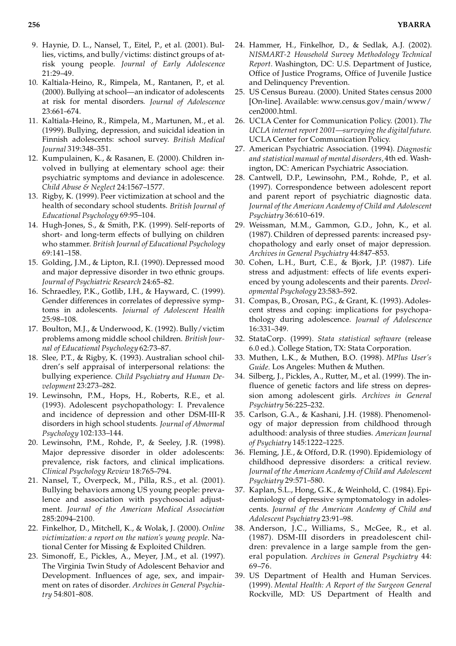- 9. Haynie, D. L., Nansel, T., Eitel, P., et al. (2001). Bullies, victims, and bully/victims: distinct groups of atrisk young people. *Journal of Early Adolescence* 21:29–49.
- 10. Kaltiala-Heino, R., Rimpela, M., Rantanen, P., et al. (2000). Bullying at school—an indicator of adolescents at risk for mental disorders. *Journal of Adolescence* 23:661–674.
- 11. Kaltiala-Heino, R., Rimpela, M., Martunen, M., et al. (1999). Bullying, depression, and suicidal ideation in Finnish adolescents: school survey. *British Medical Journal* 319:348–351.
- 12. Kumpulainen, K., & Rasanen, E. (2000). Children involved in bullying at elementary school age: their psychiatric symptoms and deviance in adolescence. *Child Abuse & Neglect* 24:1567–1577.
- 13. Rigby, K. (1999). Peer victimization at school and the health of secondary school students. *British Journal of Educational Psychology* 69:95–104.
- 14. Hugh-Jones, S., & Smith, P.K. (1999). Self-reports of short- and long-term effects of bullying on children who stammer. *British Journal of Educational Psychology* 69:141–158.
- 15. Golding, J.M., & Lipton, R.I. (1990). Depressed mood and major depressive disorder in two ethnic groups. *Journal of Psychiatric Research* 24:65–82.
- 16. Schraedley, P.K., Gotlib, I.H., & Hayward, C. (1999). Gender differences in correlates of depressive symptoms in adolescents. *Joiurnal of Adolescent Health* 25:98–108.
- 17. Boulton, M.J., & Underwood, K. (1992). Bully/victim problems among middle school children. *British Journal of Educational Psychology* 62:73–87.
- 18. Slee, P.T., & Rigby, K. (1993). Australian school children's self appraisal of interpersonal relations: the bullying experience. *Child Psychiatry and Human Development* 23:273–282.
- 19. Lewinsohn, P.M., Hops, H., Roberts, R.E., et al. (1993). Adolescent psychopathology: I. Prevalence and incidence of depression and other DSM-III-R disorders in high school students. *Journal of Abnormal Psychology* 102:133–144.
- 20. Lewinsohn, P.M., Rohde, P., & Seeley, J.R. (1998). Major depressive disorder in older adolescents: prevalence, risk factors, and clinical implications. *Clinical Psychology Review* 18:765–794.
- 21. Nansel, T., Overpeck, M., Pilla, R.S., et al. (2001). Bullying behaviors among US young people: prevalence and association with psychosocial adjustment. *Journal of the American Medical Association* 285:2094–2100.
- 22. Finkelhor, D., Mitchell, K., & Wolak, J. (2000). *Online victimization: a report on the nation's young people.* National Center for Missing & Exploited Children.
- 23. Simonoff, E., Pickles, A., Meyer, J.M., et al. (1997). The Virginia Twin Study of Adolescent Behavior and Development. Influences of age, sex, and impairment on rates of disorder. *Archives in General Psychiatry* 54:801–808.
- 24. Hammer, H., Finkelhor, D., & Sedlak, A.J. (2002). *NISMART-2 Household Survey Methodology Technical Report.* Washington, DC: U.S. Department of Justice, Office of Justice Programs, Office of Juvenile Justice and Delinquency Prevention.
- 25. US Census Bureau. (2000). United States census 2000 [On-line]. Available: www.census.gov/main/www/ cen2000.html.
- 26. UCLA Center for Communication Policy. (2001). *The UCLA internet report 2001—surveying the digital future*. UCLA Center for Communication Policy.
- 27. American Psychiatric Association. (1994). *Diagnostic and statistical manual of mental disorders,* 4th ed. Washington, DC: American Psychiatric Association.
- 28. Cantwell, D.P., Lewinsohn, P.M., Rohde, P., et al. (1997). Correspondence between adolescent report and parent report of psychiatric diagnostic data. *Journal of the American Academy of Child and Adolescent Psychiatry* 36:610–619.
- 29. Weissman, M.M., Gammon, G.D., John, K., et al. (1987). Children of depressed parents: increased psychopathology and early onset of major depression. *Archives in General Psychiatry* 44:847–853.
- 30. Cohen, L.H., Burt, C.E., & Bjork, J.P. (1987). Life stress and adjustment: effects of life events experienced by young adolescents and their parents. *Developmental Psychology* 23:583–592.
- 31. Compas, B., Orosan, P.G., & Grant, K. (1993). Adolescent stress and coping: implications for psychopathology during adolescence. *Journal of Adolescence* 16:331–349.
- 32. StataCorp. (1999). *Stata statistical software* (release 6.0 ed.). College Station, TX: Stata Corporation.
- 33. Muthen, L.K., & Muthen, B.O. (1998). *MPlus User's Guide.* Los Angeles: Muthen & Muthen.
- 34. Silberg, J., Pickles, A., Rutter, M., et al. (1999). The influence of genetic factors and life stress on depression among adolescent girls. *Archives in General Psychiatry* 56:225–232.
- 35. Carlson, G.A., & Kashani, J.H. (1988). Phenomenology of major depression from childhood through adulthood: analysis of three studies. *American Journal of Psychiatry* 145:1222–1225.
- 36. Fleming, J.E., & Offord, D.R. (1990). Epidemiology of childhood depressive disorders: a critical review. *Journal of the American Academy of Child and Adolescent Psychiatry* 29:571–580.
- 37. Kaplan, S.L., Hong, G.K., & Weinhold, C. (1984). Epidemiology of depressive symptomatology in adolescents. *Journal of the American Academy of Child and Adolescent Psychiatry* 23:91–98.
- 38. Anderson, J.C., Williams, S., McGee, R., et al. (1987). DSM-III disorders in preadolescent children: prevalence in a large sample from the general population. *Archives in General Psychiatry* 44: 69–76.
- 39. US Department of Health and Human Services. (1999). *Mental Health: A Report of the Surgeon General* Rockville, MD: US Department of Health and